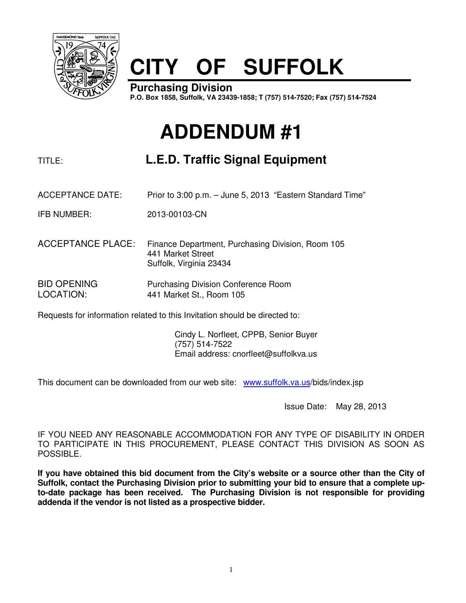

## **CITY OF SUFFOLK**

**Purchasing Division P.O. Box 1858, Suffolk, VA 23439-1858; T (757) 514-7520; Fax (757) 514-7524**

## **ADDENDUM #1**

## TITLE: **L.E.D. Traffic Signal Equipment**

- ACCEPTANCE DATE: Prior to 3:00 p.m. June 5, 2013 "Eastern Standard Time"
- IFB NUMBER: 2013-00103-CN
- ACCEPTANCE PLACE: Finance Department, Purchasing Division, Room 105 441 Market Street Suffolk, Virginia 23434

BID OPENING Purchasing Division Conference Room LOCATION: 441 Market St., Room 105

Requests for information related to this Invitation should be directed to:

 Cindy L. Norfleet, CPPB, Senior Buyer (757) 514-7522 Email address: cnorfleet@suffolkva.us

This document can be downloaded from our web site: www.suffolk.va.us/bids/index.jsp

Issue Date: May 28, 2013

IF YOU NEED ANY REASONABLE ACCOMMODATION FOR ANY TYPE OF DISABILITY IN ORDER TO PARTICIPATE IN THIS PROCUREMENT, PLEASE CONTACT THIS DIVISION AS SOON AS POSSIBLE.

**If you have obtained this bid document from the City's website or a source other than the City of Suffolk, contact the Purchasing Division prior to submitting your bid to ensure that a complete upto-date package has been received. The Purchasing Division is not responsible for providing addenda if the vendor is not listed as a prospective bidder.**